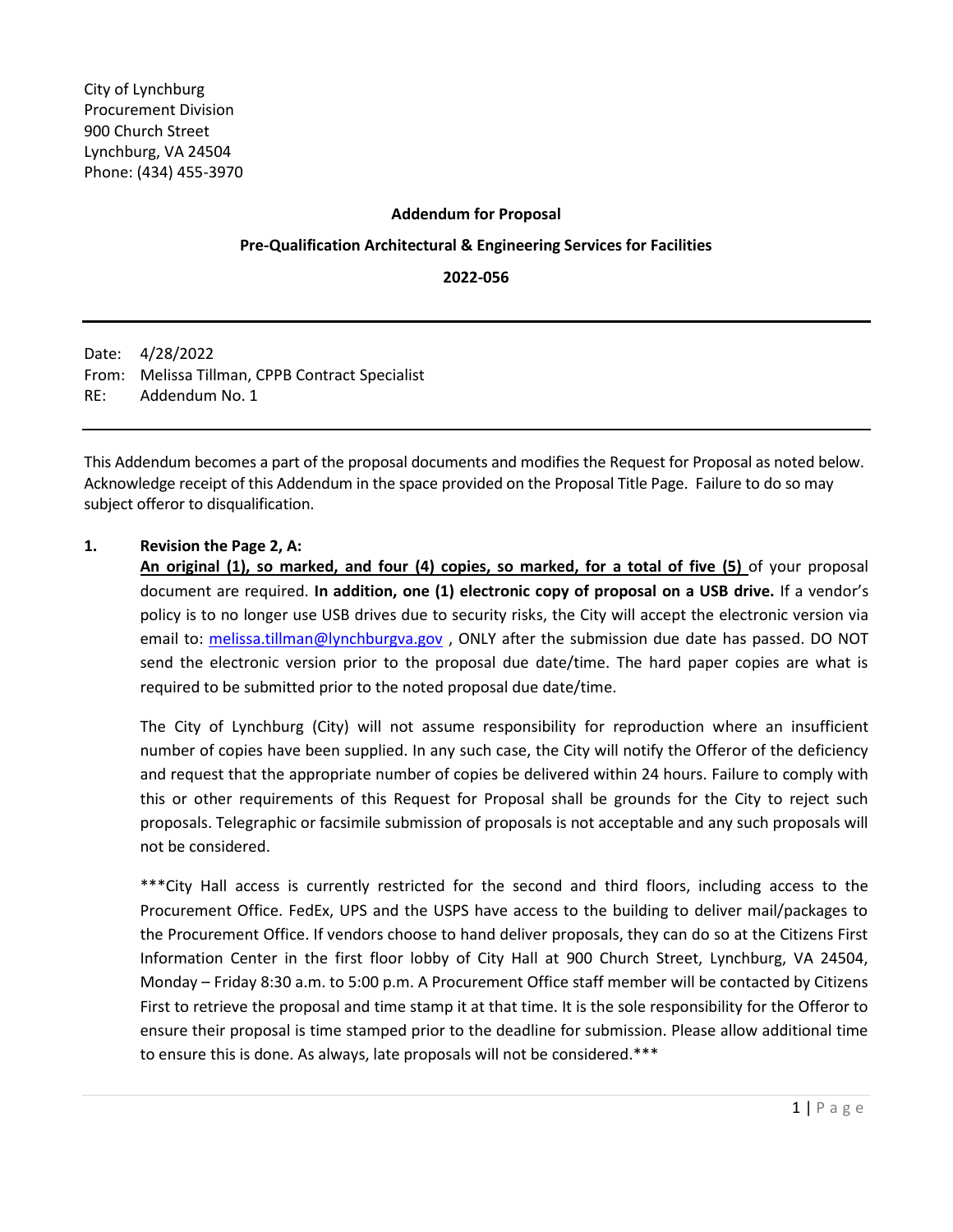### **Addendum for Proposal**

### **Pre-Qualification Architectural & Engineering Services for Facilities**

**2022-056**

Date: 4/28/2022 From: Melissa Tillman, CPPB Contract Specialist RE: Addendum No. 1

This Addendum becomes a part of the proposal documents and modifies the Request for Proposal as noted below. Acknowledge receipt of this Addendum in the space provided on the Proposal Title Page. Failure to do so may subject offeror to disqualification.

### **1. Revision the Page 2, A:**

**An original (1), so marked, and four (4) copies, so marked, for a total of five (5)** of your proposal document are required. **In addition, one (1) electronic copy of proposal on a USB drive.** If a vendor's policy is to no longer use USB drives due to security risks, the City will accept the electronic version via email to: [melissa.tillman@lynchburgva.gov](mailto:melissa.tillman@lynchburgva.gov), ONLY after the submission due date has passed. DO NOT send the electronic version prior to the proposal due date/time. The hard paper copies are what is required to be submitted prior to the noted proposal due date/time.

The City of Lynchburg (City) will not assume responsibility for reproduction where an insufficient number of copies have been supplied. In any such case, the City will notify the Offeror of the deficiency and request that the appropriate number of copies be delivered within 24 hours. Failure to comply with this or other requirements of this Request for Proposal shall be grounds for the City to reject such proposals. Telegraphic or facsimile submission of proposals is not acceptable and any such proposals will not be considered.

\*\*\*City Hall access is currently restricted for the second and third floors, including access to the Procurement Office. FedEx, UPS and the USPS have access to the building to deliver mail/packages to the Procurement Office. If vendors choose to hand deliver proposals, they can do so at the Citizens First Information Center in the first floor lobby of City Hall at 900 Church Street, Lynchburg, VA 24504, Monday – Friday 8:30 a.m. to 5:00 p.m. A Procurement Office staff member will be contacted by Citizens First to retrieve the proposal and time stamp it at that time. It is the sole responsibility for the Offeror to ensure their proposal is time stamped prior to the deadline for submission. Please allow additional time to ensure this is done. As always, late proposals will not be considered.\*\*\*